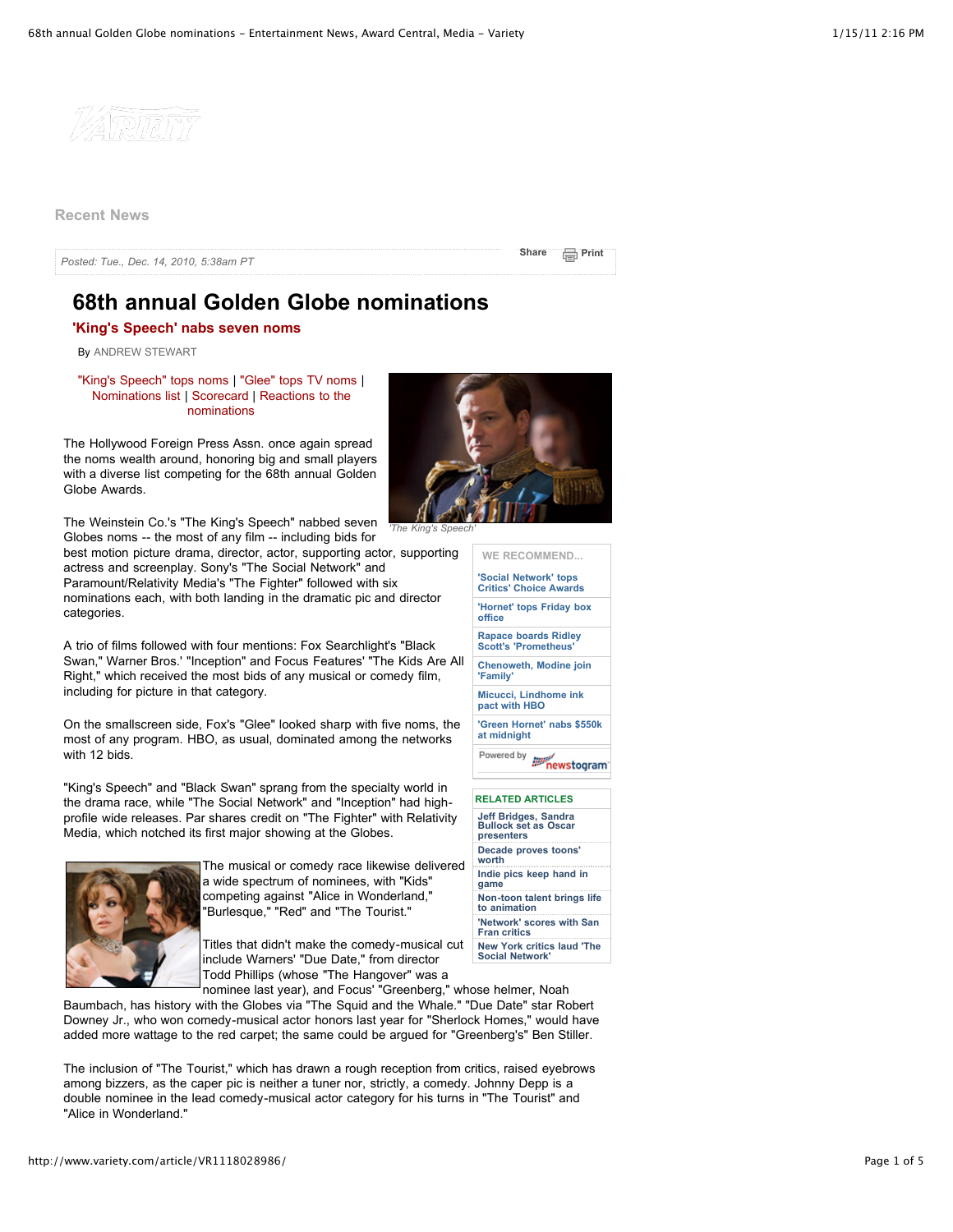

**Recent News**

*Posted: Tue., Dec. 14, 2010, 5:38am PT*

**[Share](http://www.addthis.com/bookmark.php?v=250&username=varietyonline) [Print](http://www.variety.com/article/VR1118028986/?refcatid=1985&printerfriendly=true)** 

# **68th annual Golden Globe nominations**

**'King's Speech' nabs seven noms**

By [ANDREW STEWART](http://www.variety.com/biography/3844)

["King's Speech" tops noms |](http://www.variety.com/article/VR1118028986) ["Glee" tops TV noms](http://www.variety.com/article/VR1118028987) | [Nominations list](http://www.variety.com/article/VR1118028988) [|](http://www.variety.com/article/VR1118029003) [Scorecard](http://www.variety.com/article/VR1118028994) [| Reactions to the](http://www.variety.com/article/VR1118029003) nominations

The Hollywood Foreign Press Assn. once again spread the noms wealth around, honoring big and small players with a diverse list competing for the 68th annual Golden Globe Awards.

The Weinstein Co.'s "The King's Speech" nabbed seven Globes noms -- the most of any film -- including bids for

best motion picture drama, director, actor, supporting actor, supporting actress and screenplay. Sony's "The Social Network" and Paramount/Relativity Media's "The Fighter" followed with six nominations each, with both landing in the dramatic pic and director categories.

A trio of films followed with four mentions: Fox Searchlight's "Black Swan," Warner Bros.' "Inception" and Focus Features' "The Kids Are All Right," which received the most bids of any musical or comedy film, including for picture in that category.

On the smallscreen side, Fox's "Glee" looked sharp with five noms, the most of any program. HBO, as usual, dominated among the networks with 12 bids.

"King's Speech" and "Black Swan" sprang from the specialty world in the drama race, while "The Social Network" and "Inception" had highprofile wide releases. Par shares credit on "The Fighter" with Relativity Media, which notched its first major showing at the Globes.



The musical or comedy race likewise delivered a wide spectrum of nominees, with "Kids" competing against "Alice in Wonderland," "Burlesque," "Red" and "The Tourist."

Titles that didn't make the comedy-musical cut include Warners' "Due Date," from director Todd Phillips (whose "The Hangover" was a



**WE RECOMMEND...**

| 'Social Network' tops<br><b>Critics' Choice Awards</b>     |
|------------------------------------------------------------|
| 'Hornet' tops Friday box<br>office                         |
| <b>Rapace boards Ridley</b><br><b>Scott's 'Prometheus'</b> |
| <b>Chenoweth, Modine join</b><br>'Family'                  |
| Micucci, Lindhome ink<br>pact with HBO                     |
| 'Green Hornet' nabs \$550k<br>at midnight                  |
|                                                            |
| <b>RELATED ARTICLES</b>                                    |

| Jeff Bridges, Sandra<br><b>Bullock set as Oscar</b><br>presenters |
|-------------------------------------------------------------------|
| Decade proves toons'<br>worth                                     |
| Indie pics keep hand in<br>game                                   |
| Non-toon talent brings life<br>to animation                       |
| 'Network' scores with San<br><b>Fran critics</b>                  |
| <b>New York critics laud 'The</b><br><b>Social Network'</b>       |

nominee last year), and Focus' "Greenberg," whose helmer, Noah Baumbach, has history with the Globes via "The Squid and the Whale." "Due Date" star Robert Downey Jr., who won comedy-musical actor honors last year for "Sherlock Homes," would have added more wattage to the red carpet; the same could be argued for "Greenberg's" Ben Stiller.

The inclusion of "The Tourist," which has drawn a rough reception from critics, raised eyebrows among bizzers, as the caper pic is neither a tuner nor, strictly, a comedy. Johnny Depp is a double nominee in the lead comedy-musical actor category for his turns in "The Tourist" and "Alice in Wonderland."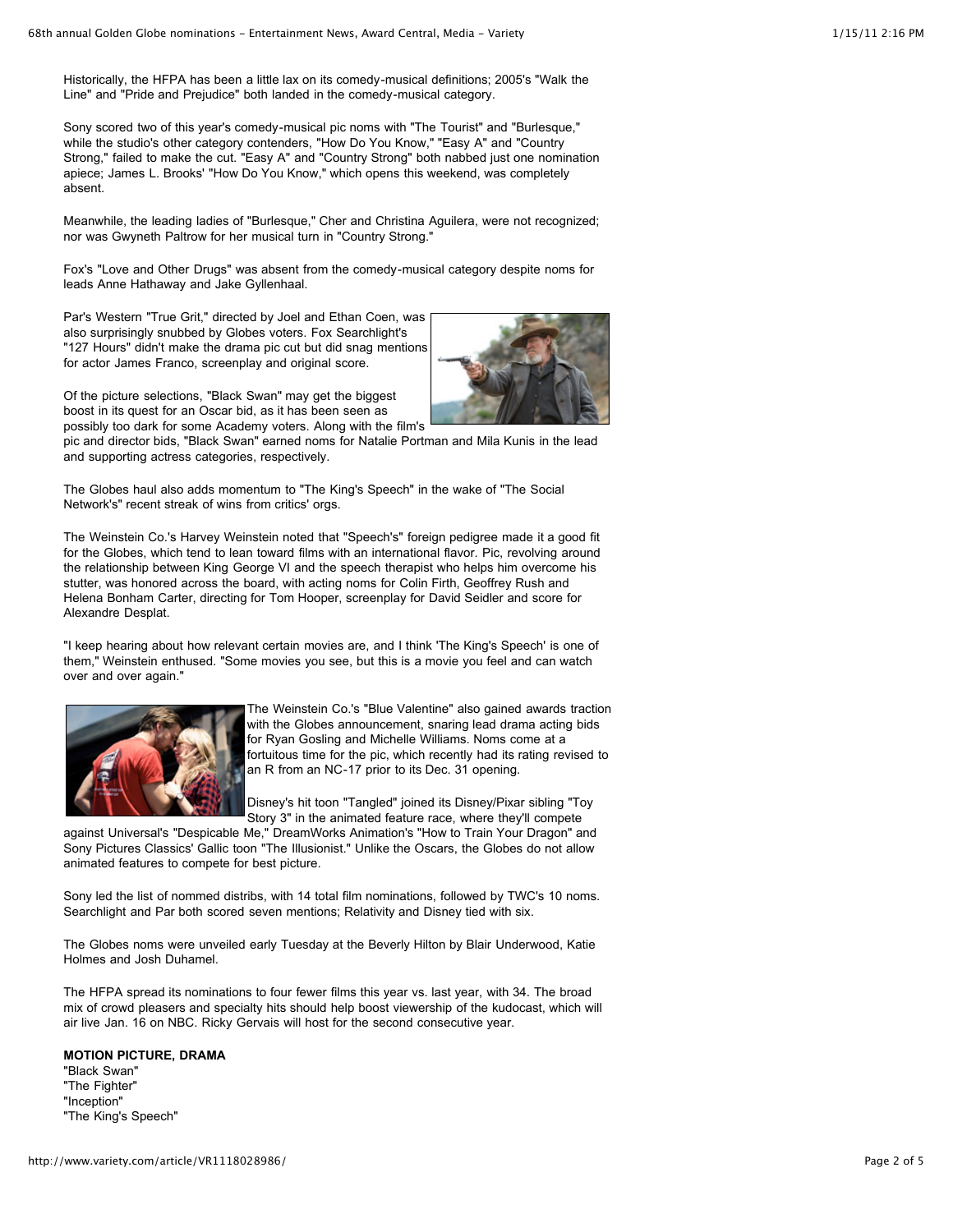Historically, the HFPA has been a little lax on its comedy-musical definitions; 2005's "Walk the Line" and "Pride and Prejudice" both landed in the comedy-musical category.

Sony scored two of this year's comedy-musical pic noms with "The Tourist" and "Burlesque," while the studio's other category contenders, "How Do You Know," "Easy A" and "Country Strong," failed to make the cut. "Easy A" and "Country Strong" both nabbed just one nomination apiece; James L. Brooks' "How Do You Know," which opens this weekend, was completely absent.

Meanwhile, the leading ladies of "Burlesque," Cher and Christina Aguilera, were not recognized; nor was Gwyneth Paltrow for her musical turn in "Country Strong."

Fox's "Love and Other Drugs" was absent from the comedy-musical category despite noms for leads Anne Hathaway and Jake Gyllenhaal.

Par's Western "True Grit," directed by Joel and Ethan Coen, was also surprisingly snubbed by Globes voters. Fox Searchlight's "127 Hours" didn't make the drama pic cut but did snag mentions for actor James Franco, screenplay and original score.



Of the picture selections, "Black Swan" may get the biggest boost in its quest for an Oscar bid, as it has been seen as possibly too dark for some Academy voters. Along with the film's

pic and director bids, "Black Swan" earned noms for Natalie Portman and Mila Kunis in the lead and supporting actress categories, respectively.

The Globes haul also adds momentum to "The King's Speech" in the wake of "The Social Network's" recent streak of wins from critics' orgs.

The Weinstein Co.'s Harvey Weinstein noted that "Speech's" foreign pedigree made it a good fit for the Globes, which tend to lean toward films with an international flavor. Pic, revolving around the relationship between King George VI and the speech therapist who helps him overcome his stutter, was honored across the board, with acting noms for Colin Firth, Geoffrey Rush and Helena Bonham Carter, directing for Tom Hooper, screenplay for David Seidler and score for Alexandre Desplat.

"I keep hearing about how relevant certain movies are, and I think 'The King's Speech' is one of them," Weinstein enthused. "Some movies you see, but this is a movie you feel and can watch over and over again."



The Weinstein Co.'s "Blue Valentine" also gained awards traction with the Globes announcement, snaring lead drama acting bids for Ryan Gosling and Michelle Williams. Noms come at a fortuitous time for the pic, which recently had its rating revised to an R from an NC-17 prior to its Dec. 31 opening.

Disney's hit toon "Tangled" joined its Disney/Pixar sibling "Toy Story 3" in the animated feature race, where they'll compete

against Universal's "Despicable Me," DreamWorks Animation's "How to Train Your Dragon" and Sony Pictures Classics' Gallic toon "The Illusionist." Unlike the Oscars, the Globes do not allow animated features to compete for best picture.

Sony led the list of nommed distribs, with 14 total film nominations, followed by TWC's 10 noms. Searchlight and Par both scored seven mentions; Relativity and Disney tied with six.

The Globes noms were unveiled early Tuesday at the Beverly Hilton by Blair Underwood, Katie Holmes and Josh Duhamel.

The HFPA spread its nominations to four fewer films this year vs. last year, with 34. The broad mix of crowd pleasers and specialty hits should help boost viewership of the kudocast, which will air live Jan. 16 on NBC. Ricky Gervais will host for the second consecutive year.

#### **MOTION PICTURE, DRAMA**

"Black Swan" "The Fighter" "Inception" "The King's Speech"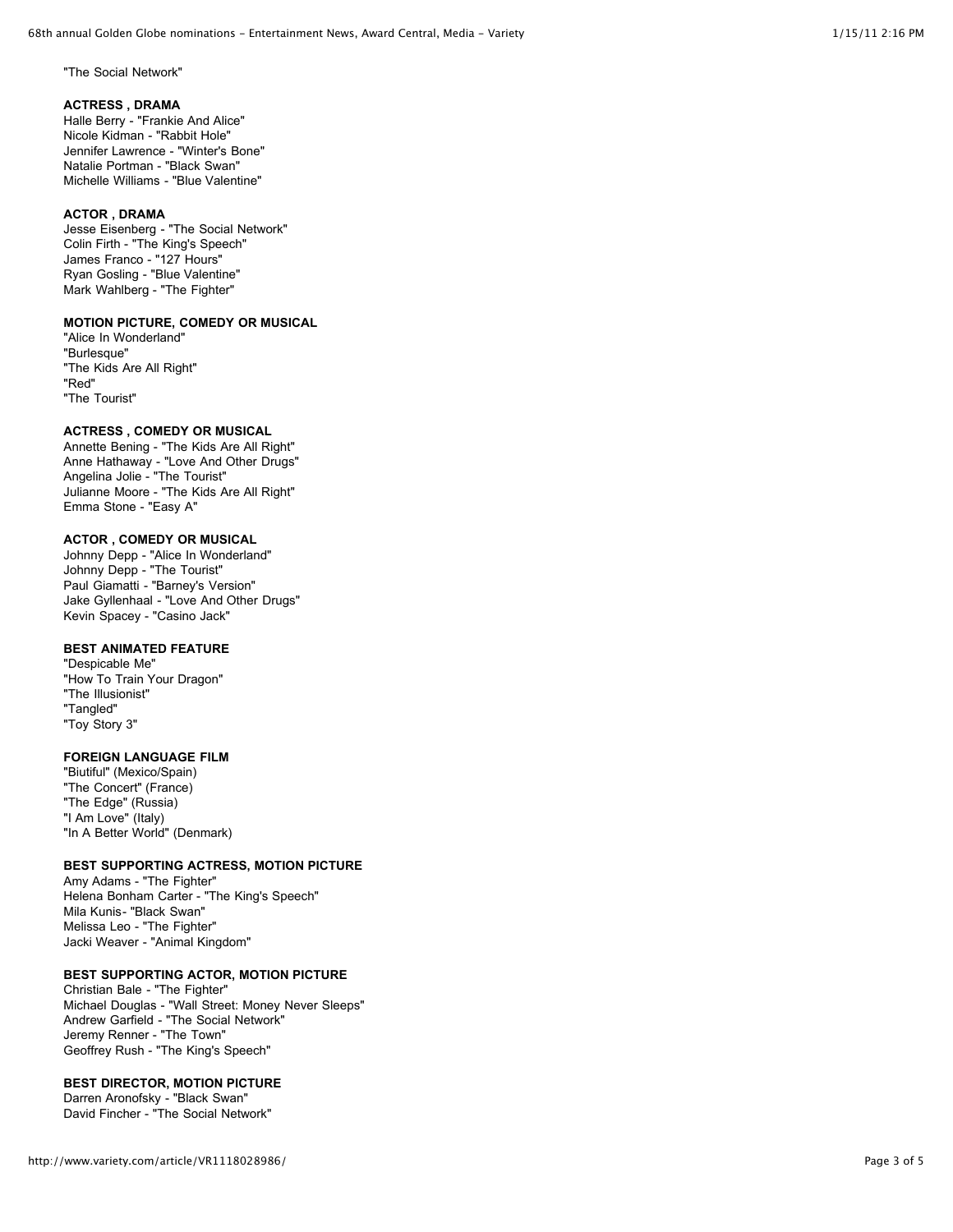"The Social Network"

## **ACTRESS , DRAMA**

Halle Berry - "Frankie And Alice" Nicole Kidman - "Rabbit Hole" Jennifer Lawrence - "Winter's Bone" Natalie Portman - "Black Swan" Michelle Williams - "Blue Valentine"

## **ACTOR , DRAMA**

Jesse Eisenberg - "The Social Network" Colin Firth - "The King's Speech" James Franco - "127 Hours" Ryan Gosling - "Blue Valentine" Mark Wahlberg - "The Fighter"

## **MOTION PICTURE, COMEDY OR MUSICAL**

"Alice In Wonderland" "Burlesque" "The Kids Are All Right" "Red" "The Tourist"

# **ACTRESS , COMEDY OR MUSICAL**

Annette Bening - "The Kids Are All Right" Anne Hathaway - "Love And Other Drugs" Angelina Jolie - "The Tourist" Julianne Moore - "The Kids Are All Right" Emma Stone - "Easy A"

# **ACTOR , COMEDY OR MUSICAL**

Johnny Depp - "Alice In Wonderland" Johnny Depp - "The Tourist" Paul Giamatti - "Barney's Version" Jake Gyllenhaal - "Love And Other Drugs" Kevin Spacey - "Casino Jack"

## **BEST ANIMATED FEATURE**

"Despicable Me" "How To Train Your Dragon" "The Illusionist" "Tangled" "Toy Story 3"

## **FOREIGN LANGUAGE FILM**

"Biutiful" (Mexico/Spain) "The Concert" (France) "The Edge" (Russia) "I Am Love" (Italy) "In A Better World" (Denmark)

## **BEST SUPPORTING ACTRESS, MOTION PICTURE**

Amy Adams - "The Fighter" Helena Bonham Carter - "The King's Speech" Mila Kunis- "Black Swan" Melissa Leo - "The Fighter" Jacki Weaver - "Animal Kingdom"

## **BEST SUPPORTING ACTOR, MOTION PICTURE**

Christian Bale - "The Fighter" Michael Douglas - "Wall Street: Money Never Sleeps" Andrew Garfield - "The Social Network" Jeremy Renner - "The Town" Geoffrey Rush - "The King's Speech"

## **BEST DIRECTOR, MOTION PICTURE**

Darren Aronofsky - "Black Swan" David Fincher - "The Social Network"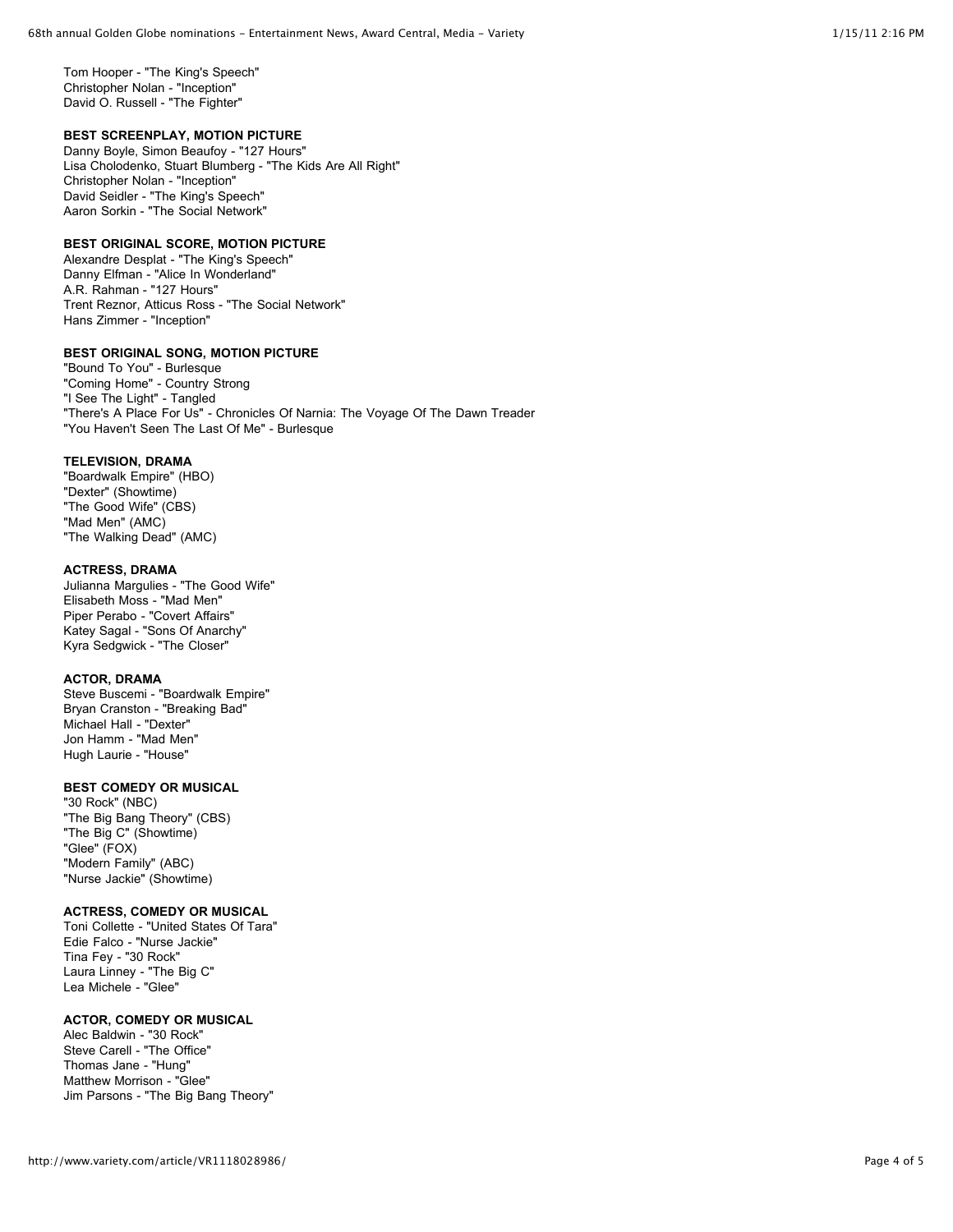Tom Hooper - "The King's Speech" Christopher Nolan - "Inception" David O. Russell - "The Fighter"

## **BEST SCREENPLAY, MOTION PICTURE**

Danny Boyle, Simon Beaufoy - "127 Hours" Lisa Cholodenko, Stuart Blumberg - "The Kids Are All Right" Christopher Nolan - "Inception" David Seidler - "The King's Speech" Aaron Sorkin - "The Social Network"

## **BEST ORIGINAL SCORE, MOTION PICTURE**

Alexandre Desplat - "The King's Speech" Danny Elfman - "Alice In Wonderland" A.R. Rahman - "127 Hours" Trent Reznor, Atticus Ross - "The Social Network" Hans Zimmer - "Inception"

## **BEST ORIGINAL SONG, MOTION PICTURE**

"Bound To You" - Burlesque "Coming Home" - Country Strong "I See The Light" - Tangled "There's A Place For Us" - Chronicles Of Narnia: The Voyage Of The Dawn Treader "You Haven't Seen The Last Of Me" - Burlesque

#### **TELEVISION, DRAMA**

"Boardwalk Empire" (HBO) "Dexter" (Showtime) "The Good Wife" (CBS) "Mad Men" (AMC) "The Walking Dead" (AMC)

#### **ACTRESS, DRAMA**

Julianna Margulies - "The Good Wife" Elisabeth Moss - "Mad Men" Piper Perabo - "Covert Affairs" Katey Sagal - "Sons Of Anarchy" Kyra Sedgwick - "The Closer"

## **ACTOR, DRAMA**

Steve Buscemi - "Boardwalk Empire" Bryan Cranston - "Breaking Bad" Michael Hall - "Dexter" Jon Hamm - "Mad Men" Hugh Laurie - "House"

## **BEST COMEDY OR MUSICAL**

"30 Rock" (NBC) "The Big Bang Theory" (CBS) "The Big C" (Showtime) "Glee" (FOX) "Modern Family" (ABC) "Nurse Jackie" (Showtime)

## **ACTRESS, COMEDY OR MUSICAL**

Toni Collette - "United States Of Tara" Edie Falco - "Nurse Jackie" Tina Fey - "30 Rock" Laura Linney - "The Big C" Lea Michele - "Glee"

# **ACTOR, COMEDY OR MUSICAL**

Alec Baldwin - "30 Rock" Steve Carell - "The Office" Thomas Jane - "Hung" Matthew Morrison - "Glee" Jim Parsons - "The Big Bang Theory"